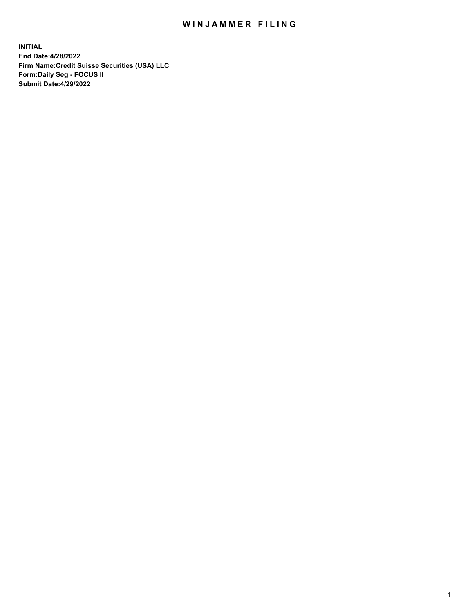# WIN JAMMER FILING

**INITIAL End Date:4/28/2022 Firm Name:Credit Suisse Securities (USA) LLC Form:Daily Seg - FOCUS II Submit Date:4/29/2022**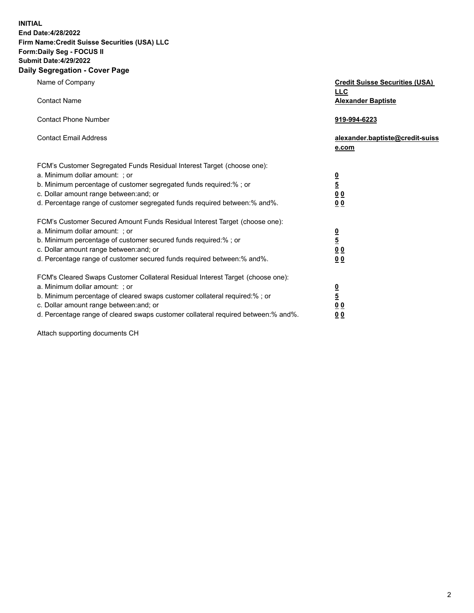**INITIAL**

# **End Date:4/28/2022 Firm Name:Credit Suisse Securities (USA) LLC Form:Daily Seg - FOCUS II Submit Date:4/29/2022**

### **Daily Segregation - Cover Page**

| Name of Company                                                                                                              | <b>Credit Suisse Securities (USA)</b><br><b>LLC</b> |
|------------------------------------------------------------------------------------------------------------------------------|-----------------------------------------------------|
| <b>Contact Name</b>                                                                                                          | <b>Alexander Baptiste</b>                           |
| <b>Contact Phone Number</b>                                                                                                  | 919-994-6223                                        |
| <b>Contact Email Address</b>                                                                                                 | alexander.baptiste@credit-suiss<br>e.com            |
| FCM's Customer Segregated Funds Residual Interest Target (choose one):                                                       |                                                     |
| a. Minimum dollar amount: ; or                                                                                               |                                                     |
| b. Minimum percentage of customer segregated funds required:% ; or                                                           | $\frac{0}{\frac{5}{0}}$                             |
| c. Dollar amount range between: and; or                                                                                      |                                                     |
| d. Percentage range of customer segregated funds required between: % and %.                                                  | 0 <sub>0</sub>                                      |
| FCM's Customer Secured Amount Funds Residual Interest Target (choose one):                                                   |                                                     |
| a. Minimum dollar amount: ; or                                                                                               | $\frac{0}{5}$                                       |
| b. Minimum percentage of customer secured funds required:%; or                                                               |                                                     |
| c. Dollar amount range between: and; or<br>d. Percentage range of customer secured funds required between:% and%.            | 0 <sub>0</sub><br>0 <sub>0</sub>                    |
|                                                                                                                              |                                                     |
| FCM's Cleared Swaps Customer Collateral Residual Interest Target (choose one):                                               |                                                     |
| a. Minimum dollar amount: ; or                                                                                               | $\frac{0}{5}$                                       |
| b. Minimum percentage of cleared swaps customer collateral required:% ; or                                                   |                                                     |
| c. Dollar amount range between: and; or<br>d. Percentage range of cleared swaps customer collateral required between:% and%. | 0 <sub>0</sub><br>0 <sub>0</sub>                    |
|                                                                                                                              |                                                     |

Attach supporting documents CH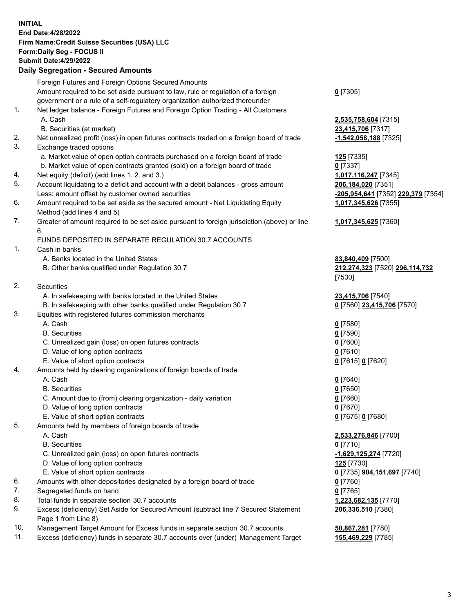# **INITIAL End Date:4/28/2022 Firm Name:Credit Suisse Securities (USA) LLC Form:Daily Seg - FOCUS II Submit Date:4/29/2022**

# **Daily Segregation - Secured Amounts**

|     | Foreign Futures and Foreign Options Secured Amounts                                         |                                    |
|-----|---------------------------------------------------------------------------------------------|------------------------------------|
|     | Amount required to be set aside pursuant to law, rule or regulation of a foreign            | $0$ [7305]                         |
|     | government or a rule of a self-regulatory organization authorized thereunder                |                                    |
| 1.  | Net ledger balance - Foreign Futures and Foreign Option Trading - All Customers             |                                    |
|     | A. Cash                                                                                     | 2,535,758,604 [7315]               |
|     | B. Securities (at market)                                                                   | 23,415,706 [7317]                  |
| 2.  | Net unrealized profit (loss) in open futures contracts traded on a foreign board of trade   | -1,542,058,188 [7325]              |
| 3.  | Exchange traded options                                                                     |                                    |
|     | a. Market value of open option contracts purchased on a foreign board of trade              | 125 [7335]                         |
|     | b. Market value of open contracts granted (sold) on a foreign board of trade                | $0$ [7337]                         |
| 4.  | Net equity (deficit) (add lines 1. 2. and 3.)                                               | 1,017,116,247 [7345]               |
| 5.  | Account liquidating to a deficit and account with a debit balances - gross amount           | 206,184,020 [7351]                 |
|     | Less: amount offset by customer owned securities                                            | -205,954,641 [7352] 229,379 [7354] |
| 6.  | Amount required to be set aside as the secured amount - Net Liquidating Equity              | 1,017,345,626 [7355]               |
|     | Method (add lines 4 and 5)                                                                  |                                    |
| 7.  | Greater of amount required to be set aside pursuant to foreign jurisdiction (above) or line | 1,017,345,625 [7360]               |
|     | 6.                                                                                          |                                    |
|     | FUNDS DEPOSITED IN SEPARATE REGULATION 30.7 ACCOUNTS                                        |                                    |
| 1.  | Cash in banks                                                                               |                                    |
|     | A. Banks located in the United States                                                       | 83,840,409 [7500]                  |
|     | B. Other banks qualified under Regulation 30.7                                              | 212,274,323 [7520] 296,114,732     |
|     |                                                                                             | [7530]                             |
| 2.  | Securities                                                                                  |                                    |
|     | A. In safekeeping with banks located in the United States                                   | 23,415,706 [7540]                  |
|     | B. In safekeeping with other banks qualified under Regulation 30.7                          | 0 [7560] 23,415,706 [7570]         |
| 3.  | Equities with registered futures commission merchants                                       |                                    |
|     | A. Cash                                                                                     | $0$ [7580]                         |
|     | <b>B.</b> Securities                                                                        | $0$ [7590]                         |
|     | C. Unrealized gain (loss) on open futures contracts                                         | $0$ [7600]                         |
|     | D. Value of long option contracts                                                           | $0$ [7610]                         |
|     | E. Value of short option contracts                                                          | 0 [7615] 0 [7620]                  |
| 4.  | Amounts held by clearing organizations of foreign boards of trade                           |                                    |
|     | A. Cash                                                                                     | $0$ [7640]                         |
|     | <b>B.</b> Securities                                                                        | $0$ [7650]                         |
|     | C. Amount due to (from) clearing organization - daily variation                             | $0$ [7660]                         |
|     | D. Value of long option contracts                                                           | $0$ [7670]                         |
|     | E. Value of short option contracts                                                          | 0 [7675] 0 [7680]                  |
| 5.  | Amounts held by members of foreign boards of trade                                          |                                    |
|     | A. Cash                                                                                     | 2,533,276,846 [7700]               |
|     | <b>B.</b> Securities                                                                        | $0$ [7710]                         |
|     | C. Unrealized gain (loss) on open futures contracts                                         | -1,629,125,274 [7720]              |
|     | D. Value of long option contracts                                                           | <b>125</b> [7730]                  |
|     | E. Value of short option contracts                                                          | 0 [7735] <b>904,151,697</b> [7740] |
| 6.  | Amounts with other depositories designated by a foreign board of trade                      | $0$ [7760]                         |
| 7.  | Segregated funds on hand                                                                    | $0$ [7765]                         |
| 8.  | Total funds in separate section 30.7 accounts                                               | 1,223,682,135 [7770]               |
| 9.  | Excess (deficiency) Set Aside for Secured Amount (subtract line 7 Secured Statement         | 206,336,510 [7380]                 |
|     | Page 1 from Line 8)                                                                         |                                    |
| 10. | Management Target Amount for Excess funds in separate section 30.7 accounts                 | 50,867,281 [7780]                  |

11. Excess (deficiency) funds in separate 30.7 accounts over (under) Management Target **155,469,229** [7785]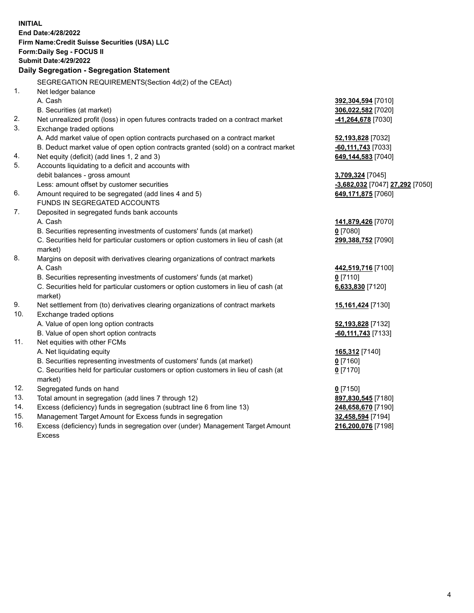| <b>INITIAL</b> |                                                                                                     |                                         |
|----------------|-----------------------------------------------------------------------------------------------------|-----------------------------------------|
|                | End Date: 4/28/2022                                                                                 |                                         |
|                | Firm Name: Credit Suisse Securities (USA) LLC                                                       |                                         |
|                | Form: Daily Seg - FOCUS II                                                                          |                                         |
|                | <b>Submit Date:4/29/2022</b>                                                                        |                                         |
|                | Daily Segregation - Segregation Statement                                                           |                                         |
|                | SEGREGATION REQUIREMENTS(Section 4d(2) of the CEAct)                                                |                                         |
| 1.             | Net ledger balance                                                                                  |                                         |
|                | A. Cash                                                                                             | 392,304,594 [7010]                      |
|                | B. Securities (at market)                                                                           | 306,022,582 [7020]                      |
| 2.             | Net unrealized profit (loss) in open futures contracts traded on a contract market                  | 41,264,678 [7030]                       |
| 3.             | Exchange traded options                                                                             |                                         |
|                | A. Add market value of open option contracts purchased on a contract market                         | 52,193,828 [7032]                       |
|                | B. Deduct market value of open option contracts granted (sold) on a contract market                 | -60,111,743 [7033]                      |
| 4.             | Net equity (deficit) (add lines 1, 2 and 3)                                                         | 649,144,583 [7040]                      |
| 5.             | Accounts liquidating to a deficit and accounts with                                                 |                                         |
|                | debit balances - gross amount                                                                       | 3,709,324 [7045]                        |
|                | Less: amount offset by customer securities                                                          | -3,682,032 [7047] 27,292 [7050]         |
| 6.             | Amount required to be segregated (add lines 4 and 5)                                                | 649,171,875 [7060]                      |
|                | FUNDS IN SEGREGATED ACCOUNTS                                                                        |                                         |
| 7.             | Deposited in segregated funds bank accounts                                                         |                                         |
|                | A. Cash                                                                                             | 141,879,426 [7070]                      |
|                | B. Securities representing investments of customers' funds (at market)                              | $0$ [7080]                              |
|                | C. Securities held for particular customers or option customers in lieu of cash (at                 | 299,388,752 [7090]                      |
|                | market)                                                                                             |                                         |
| 8.             | Margins on deposit with derivatives clearing organizations of contract markets                      |                                         |
|                | A. Cash                                                                                             | 442,519,716 [7100]                      |
|                | B. Securities representing investments of customers' funds (at market)                              | $0$ [7110]                              |
|                | C. Securities held for particular customers or option customers in lieu of cash (at                 | 6,633,830 [7120]                        |
|                | market)                                                                                             |                                         |
| 9.             | Net settlement from (to) derivatives clearing organizations of contract markets                     | 15,161,424 [7130]                       |
| 10.            | Exchange traded options                                                                             |                                         |
|                | A. Value of open long option contracts                                                              | 52,193,828 [7132]                       |
| 11.            | B. Value of open short option contracts                                                             | -60,111,743 [7133]                      |
|                | Net equities with other FCMs                                                                        |                                         |
|                | A. Net liquidating equity<br>B. Securities representing investments of customers' funds (at market) | 165,312 [7140]<br>$0$ [7160]            |
|                | C. Securities held for particular customers or option customers in lieu of cash (at                 | $0$ [7170]                              |
|                |                                                                                                     |                                         |
| 12.            | market)                                                                                             |                                         |
| 13.            | Segregated funds on hand<br>Total amount in segregation (add lines 7 through 12)                    | $0$ [7150]<br>897,830,545 [7180]        |
| 14.            | Excess (deficiency) funds in segregation (subtract line 6 from line 13)                             |                                         |
| 15.            | Management Target Amount for Excess funds in segregation                                            | 248,658,670 [7190]<br>32,458,594 [7194] |
| 16.            | Excess (deficiency) funds in segregation over (under) Management Target Amount                      | 216,200,076 [7198]                      |
|                | <b>Excess</b>                                                                                       |                                         |